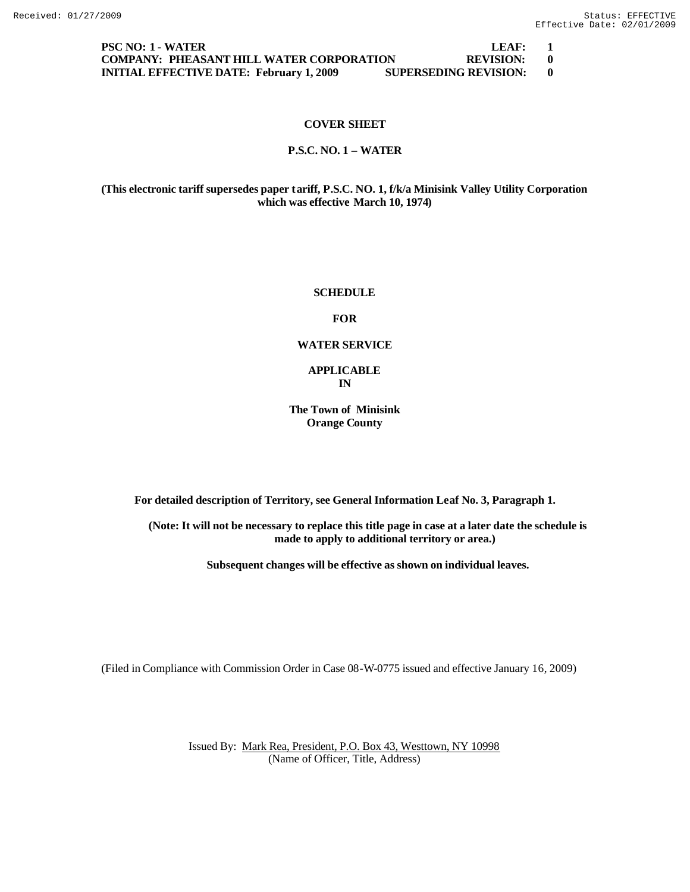**PSC NO: 1 - WATER LEAF: 1 COMPANY: PHEASANT HILL WATER CORPORATION REVISION: 0 INITIAL EFFECTIVE DATE: February 1, 2009 SUPERSEDING REVISION: 0**

### **COVER SHEET**

#### **P.S.C. NO. 1 – WATER**

**(This electronic tariff supersedes paper tariff, P.S.C. NO. 1, f/k/a Minisink Valley Utility Corporation which was effective March 10, 1974)**

### **SCHEDULE**

### **FOR**

#### **WATER SERVICE**

#### **APPLICABLE IN**

## **The Town of Minisink Orange County**

**For detailed description of Territory, see General Information Leaf No. 3, Paragraph 1.**

**(Note: It will not be necessary to replace this title page in case at a later date the schedule is made to apply to additional territory or area.)**

**Subsequent changes will be effective as shown on individual leaves.**

(Filed in Compliance with Commission Order in Case 08-W-0775 issued and effective January 16, 2009)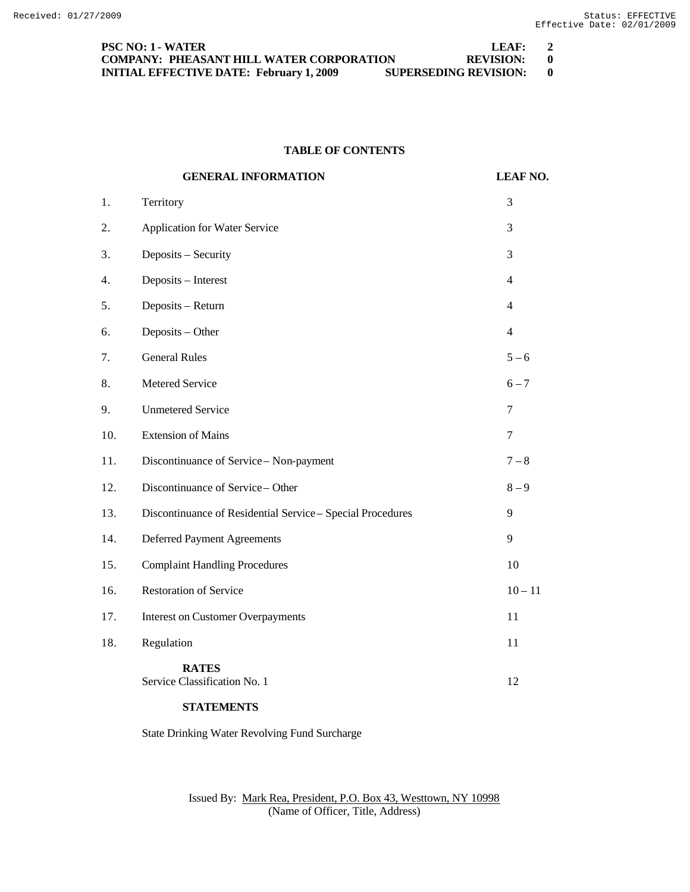| <b>PSC NO: 1 - WATER</b>                        | LFAF:                        |     |
|-------------------------------------------------|------------------------------|-----|
| <b>COMPANY: PHEASANT HILL WATER CORPORATION</b> | <b>REVISION:</b>             | - 0 |
| <b>INITIAL EFFECTIVE DATE: February 1, 2009</b> | <b>SUPERSEDING REVISION:</b> | - 0 |

# **TABLE OF CONTENTS**

|     | <b>GENERAL INFORMATION</b>                                 | <b>LEAF NO.</b> |
|-----|------------------------------------------------------------|-----------------|
| 1.  | Territory                                                  | 3               |
| 2.  | Application for Water Service                              | 3               |
| 3.  | Deposits - Security                                        | 3               |
| 4.  | Deposits - Interest                                        | $\overline{4}$  |
| 5.  | Deposits - Return                                          | $\overline{4}$  |
| 6.  | Deposits - Other                                           | $\overline{4}$  |
| 7.  | <b>General Rules</b>                                       | $5 - 6$         |
| 8.  | Metered Service                                            | $6 - 7$         |
| 9.  | <b>Unmetered Service</b>                                   | 7               |
| 10. | <b>Extension of Mains</b>                                  | $\overline{7}$  |
| 11. | Discontinuance of Service - Non-payment                    | $7 - 8$         |
| 12. | Discontinuance of Service - Other                          | $8 - 9$         |
| 13. | Discontinuance of Residential Service - Special Procedures | 9               |
| 14. | <b>Deferred Payment Agreements</b>                         | 9               |
| 15. | <b>Complaint Handling Procedures</b>                       | 10              |
| 16. | <b>Restoration of Service</b>                              | $10 - 11$       |
| 17. | <b>Interest on Customer Overpayments</b>                   | 11              |
| 18. | Regulation                                                 | 11              |
|     | <b>RATES</b><br>Service Classification No. 1               | 12              |

# **STATEMENTS**

State Drinking Water Revolving Fund Surcharge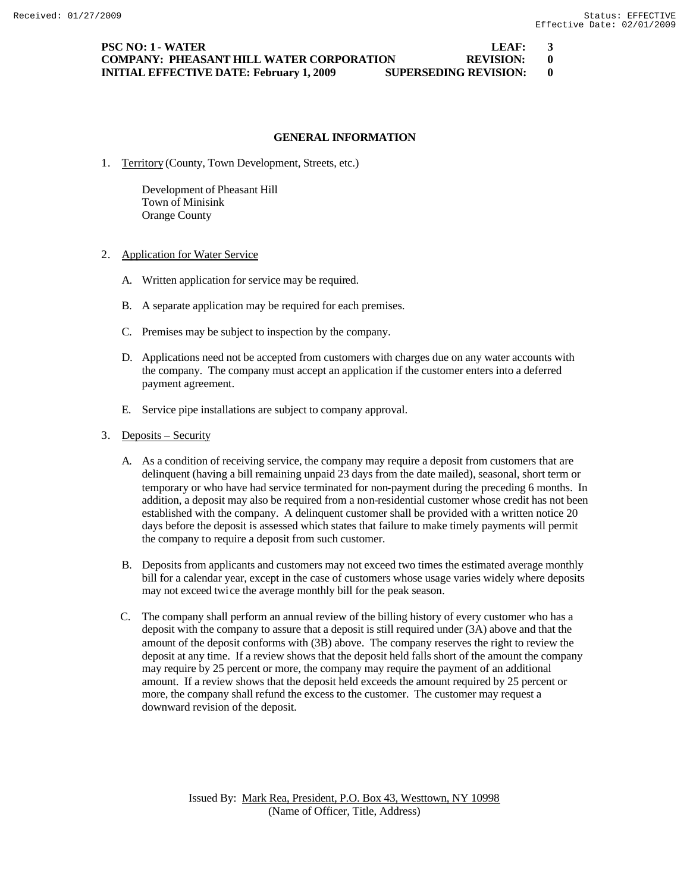## **PSC NO: 1 - WATER LEAF: 3 COMPANY: PHEASANT HILL WATER CORPORATION REVISION: 0 INITIAL EFFECTIVE DATE: February 1, 2009 SUPERSEDING REVISION: 0**

# **GENERAL INFORMATION**

1. Territory (County, Town Development, Streets, etc.)

Development of Pheasant Hill Town of Minisink Orange County

- 2. Application for Water Service
	- A. Written application for service may be required.
	- B. A separate application may be required for each premises.
	- C. Premises may be subject to inspection by the company.
	- D. Applications need not be accepted from customers with charges due on any water accounts with the company. The company must accept an application if the customer enters into a deferred payment agreement.
	- E. Service pipe installations are subject to company approval.
- 3. Deposits Security
	- A. As a condition of receiving service, the company may require a deposit from customers that are delinquent (having a bill remaining unpaid 23 days from the date mailed), seasonal, short term or temporary or who have had service terminated for non-payment during the preceding 6 months. In addition, a deposit may also be required from a non-residential customer whose credit has not been established with the company. A delinquent customer shall be provided with a written notice 20 days before the deposit is assessed which states that failure to make timely payments will permit the company to require a deposit from such customer.
	- B. Deposits from applicants and customers may not exceed two times the estimated average monthly bill for a calendar year, except in the case of customers whose usage varies widely where deposits may not exceed twice the average monthly bill for the peak season.
	- C. The company shall perform an annual review of the billing history of every customer who has a deposit with the company to assure that a deposit is still required under (3A) above and that the amount of the deposit conforms with (3B) above. The company reserves the right to review the deposit at any time. If a review shows that the deposit held falls short of the amount the company may require by 25 percent or more, the company may require the payment of an additional amount. If a review shows that the deposit held exceeds the amount required by 25 percent or more, the company shall refund the excess to the customer. The customer may request a downward revision of the deposit.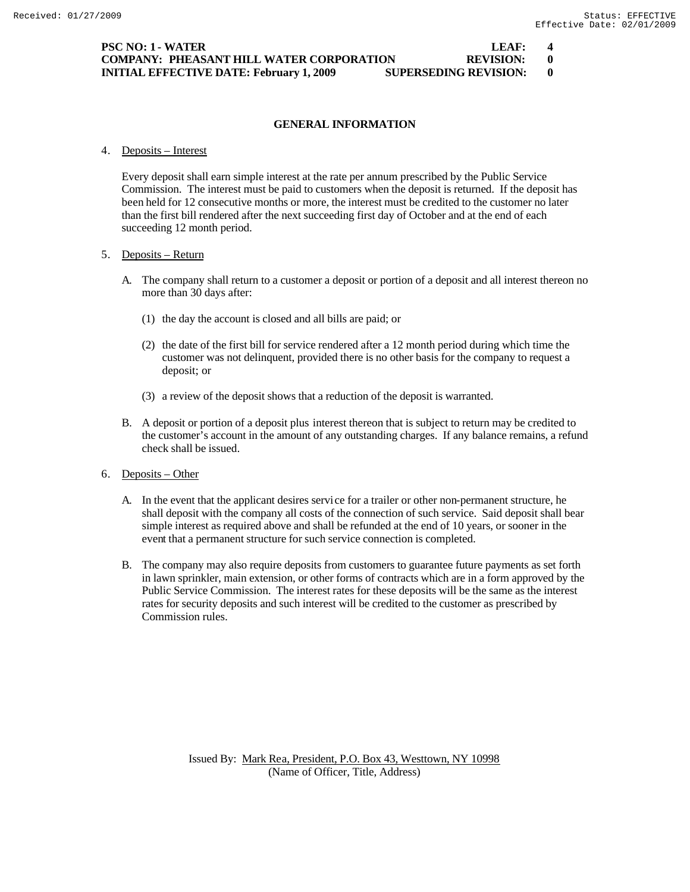# **PSC NO: 1 - WATER LEAF: 4 COMPANY: PHEASANT HILL WATER CORPORATION REVISION: 0 INITIAL EFFECTIVE DATE: February 1, 2009 SUPERSEDING REVISION: 0**

# **GENERAL INFORMATION**

4. Deposits – Interest

Every deposit shall earn simple interest at the rate per annum prescribed by the Public Service Commission. The interest must be paid to customers when the deposit is returned. If the deposit has been held for 12 consecutive months or more, the interest must be credited to the customer no later than the first bill rendered after the next succeeding first day of October and at the end of each succeeding 12 month period.

## 5. Deposits – Return

- A. The company shall return to a customer a deposit or portion of a deposit and all interest thereon no more than 30 days after:
	- (1) the day the account is closed and all bills are paid; or
	- (2) the date of the first bill for service rendered after a 12 month period during which time the customer was not delinquent, provided there is no other basis for the company to request a deposit; or
	- (3) a review of the deposit shows that a reduction of the deposit is warranted.
- B. A deposit or portion of a deposit plus interest thereon that is subject to return may be credited to the customer's account in the amount of any outstanding charges. If any balance remains, a refund check shall be issued.
- 6. Deposits Other
	- A. In the event that the applicant desires service for a trailer or other non-permanent structure, he shall deposit with the company all costs of the connection of such service. Said deposit shall bear simple interest as required above and shall be refunded at the end of 10 years, or sooner in the event that a permanent structure for such service connection is completed.
	- B. The company may also require deposits from customers to guarantee future payments as set forth in lawn sprinkler, main extension, or other forms of contracts which are in a form approved by the Public Service Commission. The interest rates for these deposits will be the same as the interest rates for security deposits and such interest will be credited to the customer as prescribed by Commission rules.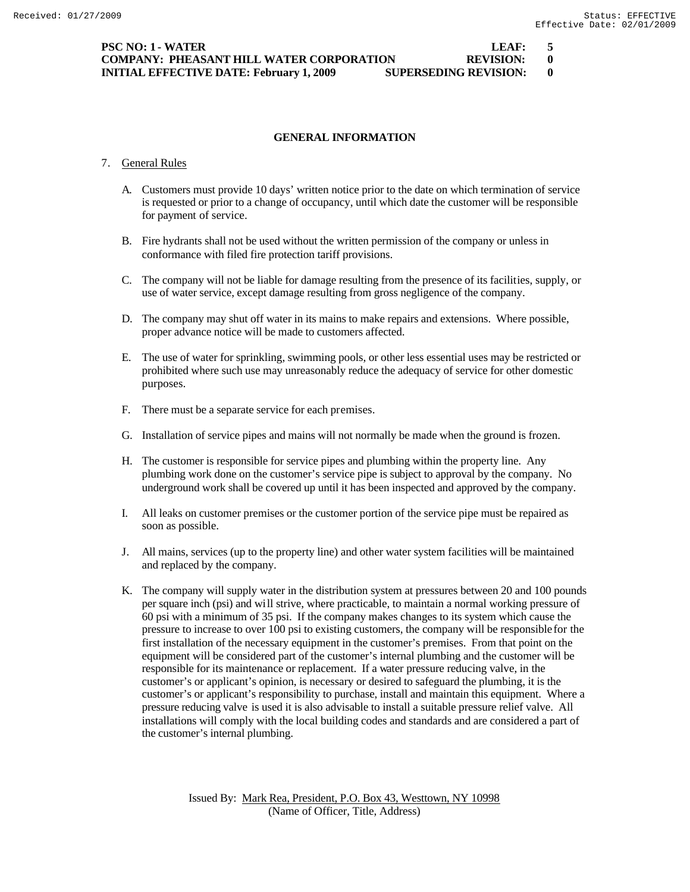## **GENERAL INFORMATION**

#### 7. General Rules

- A. Customers must provide 10 days' written notice prior to the date on which termination of service is requested or prior to a change of occupancy, until which date the customer will be responsible for payment of service.
- B. Fire hydrants shall not be used without the written permission of the company or unless in conformance with filed fire protection tariff provisions.
- C. The company will not be liable for damage resulting from the presence of its facilities, supply, or use of water service, except damage resulting from gross negligence of the company.
- D. The company may shut off water in its mains to make repairs and extensions. Where possible, proper advance notice will be made to customers affected.
- E. The use of water for sprinkling, swimming pools, or other less essential uses may be restricted or prohibited where such use may unreasonably reduce the adequacy of service for other domestic purposes.
- F. There must be a separate service for each premises.
- G. Installation of service pipes and mains will not normally be made when the ground is frozen.
- H. The customer is responsible for service pipes and plumbing within the property line. Any plumbing work done on the customer's service pipe is subject to approval by the company. No underground work shall be covered up until it has been inspected and approved by the company.
- I. All leaks on customer premises or the customer portion of the service pipe must be repaired as soon as possible.
- J. All mains, services (up to the property line) and other water system facilities will be maintained and replaced by the company.
- K. The company will supply water in the distribution system at pressures between 20 and 100 pounds per square inch (psi) and will strive, where practicable, to maintain a normal working pressure of 60 psi with a minimum of 35 psi. If the company makes changes to its system which cause the pressure to increase to over 100 psi to existing customers, the company will be responsible for the first installation of the necessary equipment in the customer's premises. From that point on the equipment will be considered part of the customer's internal plumbing and the customer will be responsible for its maintenance or replacement. If a water pressure reducing valve, in the customer's or applicant's opinion, is necessary or desired to safeguard the plumbing, it is the customer's or applicant's responsibility to purchase, install and maintain this equipment. Where a pressure reducing valve is used it is also advisable to install a suitable pressure relief valve. All installations will comply with the local building codes and standards and are considered a part of the customer's internal plumbing.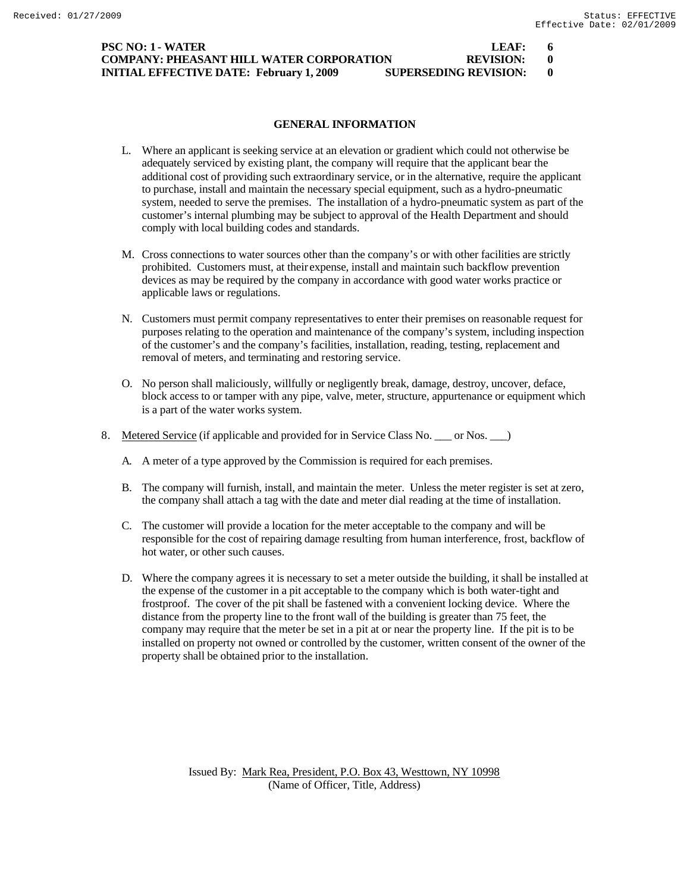# **PSC NO: 1 - WATER LEAF: 6 COMPANY: PHEASANT HILL WATER CORPORATION REVISION: 0 INITIAL EFFECTIVE DATE: February 1, 2009 SUPERSEDING REVISION: 0**

# **GENERAL INFORMATION**

- L. Where an applicant is seeking service at an elevation or gradient which could not otherwise be adequately serviced by existing plant, the company will require that the applicant bear the additional cost of providing such extraordinary service, or in the alternative, require the applicant to purchase, install and maintain the necessary special equipment, such as a hydro-pneumatic system, needed to serve the premises. The installation of a hydro-pneumatic system as part of the customer's internal plumbing may be subject to approval of the Health Department and should comply with local building codes and standards.
- M. Cross connections to water sources other than the company's or with other facilities are strictly prohibited. Customers must, at their expense, install and maintain such backflow prevention devices as may be required by the company in accordance with good water works practice or applicable laws or regulations.
- N. Customers must permit company representatives to enter their premises on reasonable request for purposes relating to the operation and maintenance of the company's system, including inspection of the customer's and the company's facilities, installation, reading, testing, replacement and removal of meters, and terminating and restoring service.
- O. No person shall maliciously, willfully or negligently break, damage, destroy, uncover, deface, block access to or tamper with any pipe, valve, meter, structure, appurtenance or equipment which is a part of the water works system.
- 8. Metered Service (if applicable and provided for in Service Class No. \_\_\_ or Nos. \_\_ )
	- A. A meter of a type approved by the Commission is required for each premises.
	- B. The company will furnish, install, and maintain the meter. Unless the meter register is set at zero, the company shall attach a tag with the date and meter dial reading at the time of installation.
	- C. The customer will provide a location for the meter acceptable to the company and will be responsible for the cost of repairing damage resulting from human interference, frost, backflow of hot water, or other such causes.
	- D. Where the company agrees it is necessary to set a meter outside the building, it shall be installed at the expense of the customer in a pit acceptable to the company which is both water-tight and frostproof. The cover of the pit shall be fastened with a convenient locking device. Where the distance from the property line to the front wall of the building is greater than 75 feet, the company may require that the meter be set in a pit at or near the property line. If the pit is to be installed on property not owned or controlled by the customer, written consent of the owner of the property shall be obtained prior to the installation.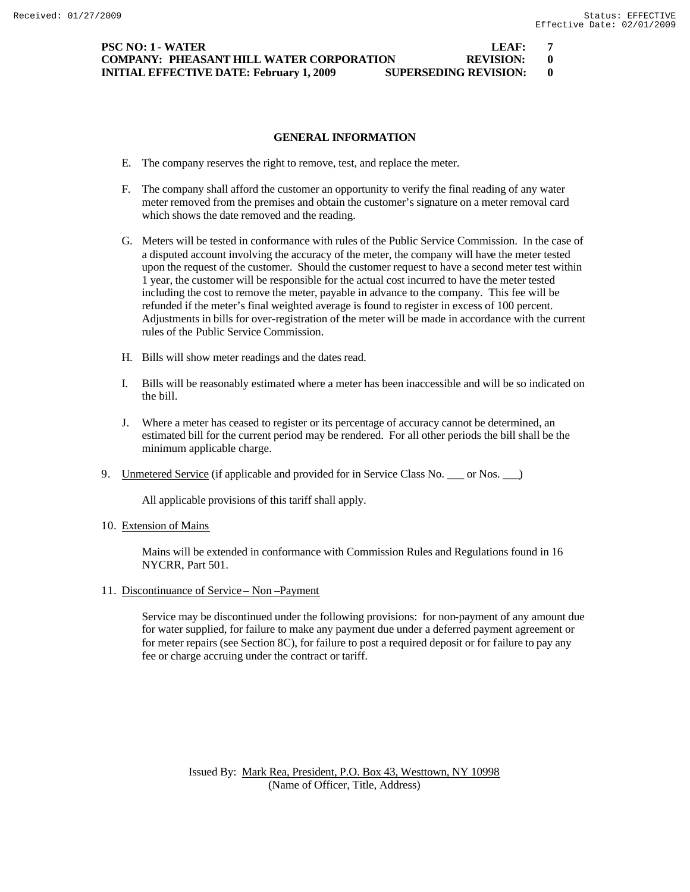## **PSC NO: 1 - WATER LEAF: 7 COMPANY: PHEASANT HILL WATER CORPORATION REVISION: 0 INITIAL EFFECTIVE DATE: February 1, 2009 SUPERSEDING REVISION: 0**

## **GENERAL INFORMATION**

- E. The company reserves the right to remove, test, and replace the meter.
- F. The company shall afford the customer an opportunity to verify the final reading of any water meter removed from the premises and obtain the customer's signature on a meter removal card which shows the date removed and the reading.
- G. Meters will be tested in conformance with rules of the Public Service Commission. In the case of a disputed account involving the accuracy of the meter, the company will have the meter tested upon the request of the customer. Should the customer request to have a second meter test within 1 year, the customer will be responsible for the actual cost incurred to have the meter tested including the cost to remove the meter, payable in advance to the company. This fee will be refunded if the meter's final weighted average is found to register in excess of 100 percent. Adjustments in bills for over-registration of the meter will be made in accordance with the current rules of the Public Service Commission.
- H. Bills will show meter readings and the dates read.
- I. Bills will be reasonably estimated where a meter has been inaccessible and will be so indicated on the bill.
- J. Where a meter has ceased to register or its percentage of accuracy cannot be determined, an estimated bill for the current period may be rendered. For all other periods the bill shall be the minimum applicable charge.
- 9. Unmetered Service (if applicable and provided for in Service Class No. \_\_\_ or Nos. \_\_\_)

All applicable provisions of this tariff shall apply.

10. Extension of Mains

Mains will be extended in conformance with Commission Rules and Regulations found in 16 NYCRR, Part 501.

11. Discontinuance of Service – Non –Payment

Service may be discontinued under the following provisions: for non-payment of any amount due for water supplied, for failure to make any payment due under a deferred payment agreement or for meter repairs (see Section 8C), for failure to post a required deposit or for failure to pay any fee or charge accruing under the contract or tariff.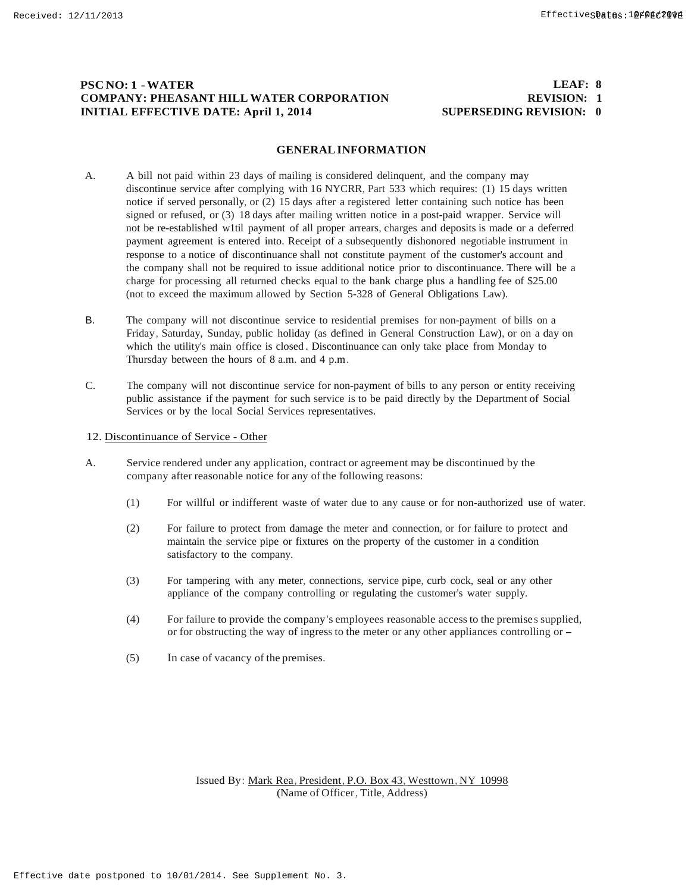# **PSC NO: 1 -WATER COMPANY: PHEASANT HILL WATER CORPORATION INITIAL EFFECTIVE DATE: April 1, 2014**

#### **LEAF: 8 REVISION: 1 SUPERSEDING REVISION: 0**

#### **GENERALINFORMATION**

- A. A bill not paid within 23 days of mailing is considered delinquent, and the company may discontinue service after complying with 16 NYCRR, Part 533 which requires: (1) 15 days written notice if served personally, or (2) 15 days after a registered letter containing such notice has been signed or refused, or (3) 18 days after mailing written notice in a post-paid wrapper. Service will not be re-established w1til payment of all proper arrears, charges and deposits is made or a deferred payment agreement is entered into. Receipt of a subsequently dishonored negotiable instrument in response to a notice of discontinuance shall not constitute payment of the customer's account and the company shall not be required to issue additional notice prior to discontinuance. There will be a charge for processing all returned checks equal to the bank charge plus a handling fee of \$25.00 (not to exceed the maximum allowed by Section 5-328 of General Obligations Law).
- B. The company will not discontinue service to residential premises for non-payment of bills on a Friday, Saturday, Sunday, public holiday (as defined in General Construction Law), or on a day on which the utility's main office is closed . Discontinuance can only take place from Monday to Thursday between the hours of 8 a.m. and 4 p.m.
- C. The company will not discontinue service for non-payment of bills to any person or entity receiving public assistance if the payment for such service is to be paid directly by the Department of Social Services or by the local Social Services representatives.
- 12. Discontinuance of Service Other
- A. Service rendered under any application, contract or agreement may be discontinued by the company after reasonable notice for any of the following reasons:
	- (1) For willful or indifferent waste of water due to any cause or for non-authorized use of water.
	- (2) For failure to protect from damage the meter and connection, or for failure to protect and maintain the service pipe or fixtures on the property of the customer in a condition satisfactory to the company.
	- (3) For tampering with any meter, connections, service pipe, curb cock, seal or any other appliance of the company controlling or regulating the customer's water supply.
	- (4) For failure to provide the company's employees reasonable access to the premises supplied, or for obstructing the way of ingressto the meter or any other appliances controlling or -
	- (5) In case of vacancy of the premises.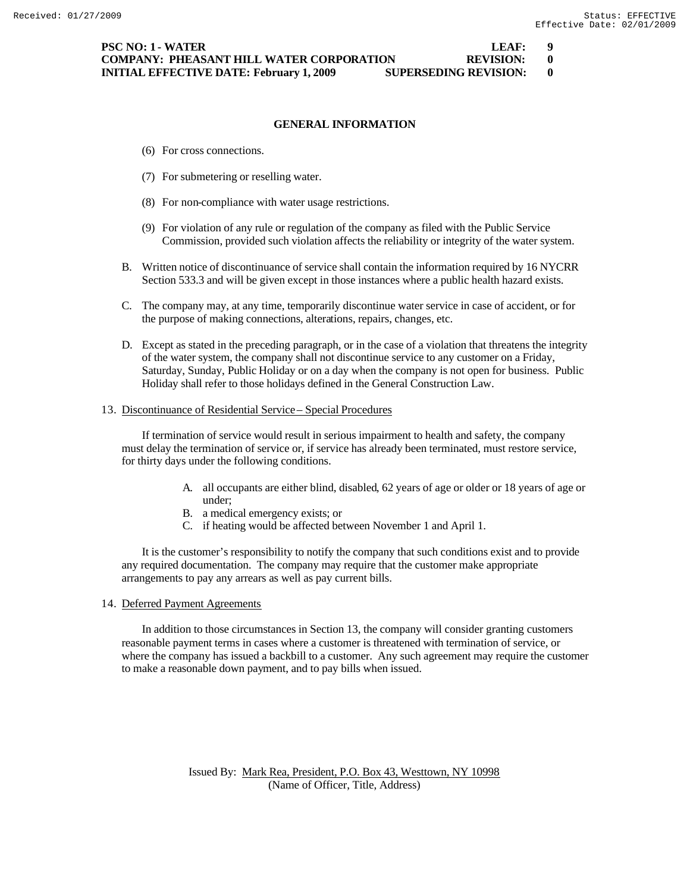## **GENERAL INFORMATION**

- (6) For cross connections.
- (7) For submetering or reselling water.
- (8) For non-compliance with water usage restrictions.
- (9) For violation of any rule or regulation of the company as filed with the Public Service Commission, provided such violation affects the reliability or integrity of the water system.
- B. Written notice of discontinuance of service shall contain the information required by 16 NYCRR Section 533.3 and will be given except in those instances where a public health hazard exists.
- C. The company may, at any time, temporarily discontinue water service in case of accident, or for the purpose of making connections, alterations, repairs, changes, etc.
- D. Except as stated in the preceding paragraph, or in the case of a violation that threatens the integrity of the water system, the company shall not discontinue service to any customer on a Friday, Saturday, Sunday, Public Holiday or on a day when the company is not open for business. Public Holiday shall refer to those holidays defined in the General Construction Law.

#### 13. Discontinuance of Residential Service – Special Procedures

If termination of service would result in serious impairment to health and safety, the company must delay the termination of service or, if service has already been terminated, must restore service, for thirty days under the following conditions.

- A. all occupants are either blind, disabled, 62 years of age or older or 18 years of age or under;
- B. a medical emergency exists; or
- C. if heating would be affected between November 1 and April 1.

It is the customer's responsibility to notify the company that such conditions exist and to provide any required documentation. The company may require that the customer make appropriate arrangements to pay any arrears as well as pay current bills.

#### 14. Deferred Payment Agreements

In addition to those circumstances in Section 13, the company will consider granting customers reasonable payment terms in cases where a customer is threatened with termination of service, or where the company has issued a backbill to a customer. Any such agreement may require the customer to make a reasonable down payment, and to pay bills when issued.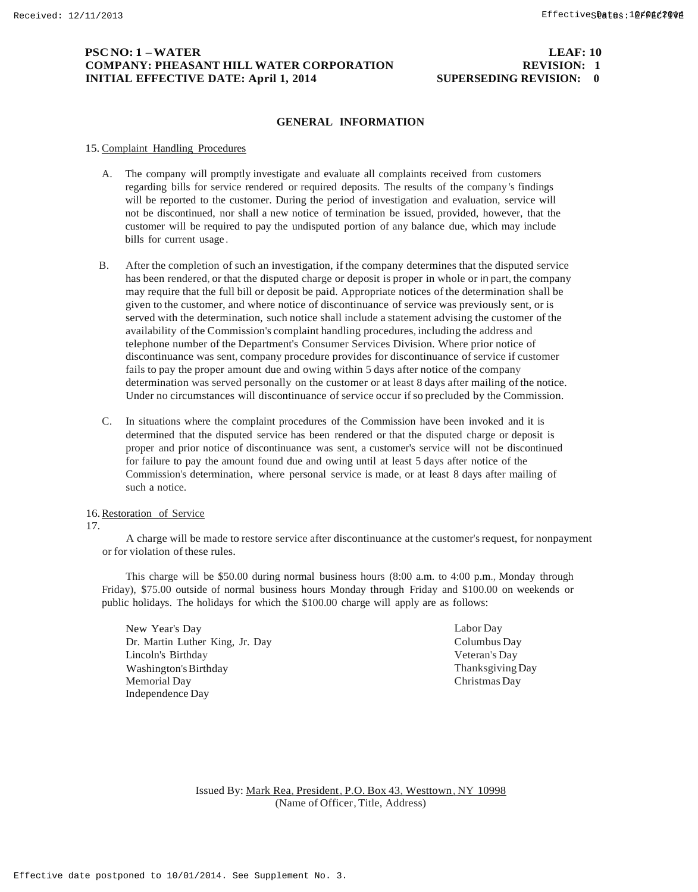# **PSC NO: 1 –WATER LEAF: 10 COMPANY: PHEASANT HILL WATER CORPORATION REVISION: 1 INITIAL EFFECTIVE DATE: April 1, 2014 SUPERSEDING REVISION: 0**

#### **GENERAL INFORMATION**

#### 15. Complaint Handling Procedures

- A. The company will promptly investigate and evaluate all complaints received from customers regarding bills for service rendered or required deposits. The results of the company 's findings will be reported to the customer. During the period of investigation and evaluation, service will not be discontinued, nor shall a new notice of termination be issued, provided, however, that the customer will be required to pay the undisputed portion of any balance due, which may include bills for current usage .
- B. After the completion of such an investigation, if the company determines that the disputed service has been rendered, or that the disputed charge or deposit is proper in whole or in part, the company may require that the full bill or deposit be paid. Appropriate notices of the determination shall be given to the customer, and where notice of discontinuance of service was previously sent, or is served with the determination, such notice shall include a statement advising the customer of the availability of the Commission's complaint handling procedures, including the address and telephone number of the Department's Consumer Services Division. Where prior notice of discontinuance was sent, company procedure provides for discontinuance of service if customer fails to pay the proper amount due and owing within 5 days after notice of the company determination was served personally on the customer or at least 8 days after mailing of the notice. Under no circumstances will discontinuance of service occur ifso precluded by the Commission.
- C. In situations where the complaint procedures of the Commission have been invoked and it is determined that the disputed service has been rendered or that the disputed charge or deposit is proper and prior notice of discontinuance was sent, a customer's service will not be discontinued for failure to pay the amount found due and owing until at least 5 days after notice of the Commission's determination, where personal service is made, or at least 8 days after mailing of such a notice.

#### 16.Restoration of Service

#### 17.

A charge will be made to restore service after discontinuance at the customer's request, for nonpayment or for violation of these rules.

This charge will be \$50.00 during normal business hours (8:00 a.m. to 4:00 p.m., Monday through Friday), \$75.00 outside of normal business hours Monday through Friday and \$100.00 on weekends or public holidays. The holidays for which the \$100.00 charge will apply are as follows:

New Year's Day Dr. Martin Luther King, Jr. Day Lincoln's Birthday Washington'sBirthday Memorial Day Independence Day

Labor Day Columbus Day Veteran's Day ThanksgivingDay Christmas Day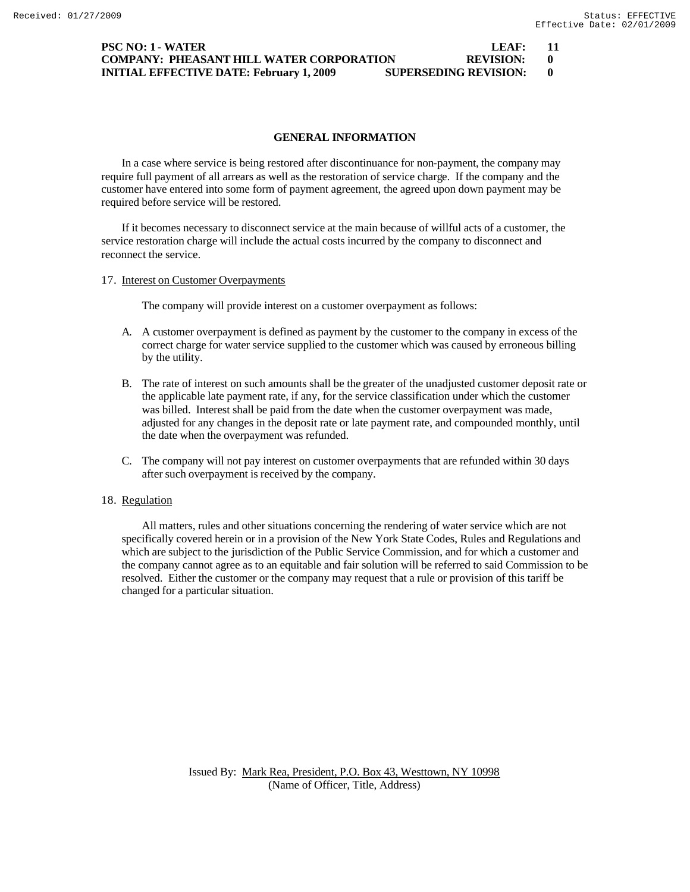## **PSC NO: 1 - WATER LEAF: 11 COMPANY: PHEASANT HILL WATER CORPORATION REVISION: 0 INITIAL EFFECTIVE DATE: February 1, 2009 SUPERSEDING REVISION: 0**

### **GENERAL INFORMATION**

In a case where service is being restored after discontinuance for non-payment, the company may require full payment of all arrears as well as the restoration of service charge. If the company and the customer have entered into some form of payment agreement, the agreed upon down payment may be required before service will be restored.

If it becomes necessary to disconnect service at the main because of willful acts of a customer, the service restoration charge will include the actual costs incurred by the company to disconnect and reconnect the service.

17. Interest on Customer Overpayments

The company will provide interest on a customer overpayment as follows:

- A. A customer overpayment is defined as payment by the customer to the company in excess of the correct charge for water service supplied to the customer which was caused by erroneous billing by the utility.
- B. The rate of interest on such amounts shall be the greater of the unadjusted customer deposit rate or the applicable late payment rate, if any, for the service classification under which the customer was billed. Interest shall be paid from the date when the customer overpayment was made, adjusted for any changes in the deposit rate or late payment rate, and compounded monthly, until the date when the overpayment was refunded.
- C. The company will not pay interest on customer overpayments that are refunded within 30 days after such overpayment is received by the company.

# 18. Regulation

All matters, rules and other situations concerning the rendering of water service which are not specifically covered herein or in a provision of the New York State Codes, Rules and Regulations and which are subject to the jurisdiction of the Public Service Commission, and for which a customer and the company cannot agree as to an equitable and fair solution will be referred to said Commission to be resolved. Either the customer or the company may request that a rule or provision of this tariff be changed for a particular situation.